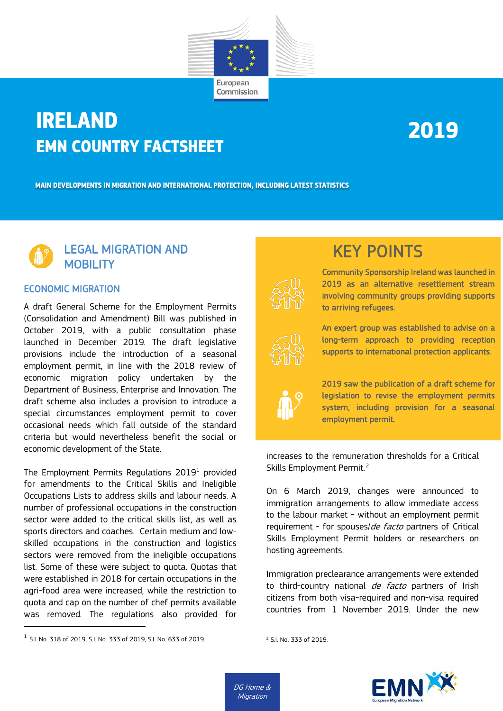

## **IRELAND EMN COUNTRY FACTSHEET**

# **2019**

**MAIN DEVELOPMENTS IN MIGRATION AND INTERNATIONAL PROTECTION, INCLUDING LATEST STATISTICS**



#### ECONOMIC MIGRATION

A draft General Scheme for the Employment Permits (Consolidation and Amendment) Bill was published in October 2019, with a public consultation phase launched in December 2019. The draft legislative provisions include the introduction of a seasonal employment permit, in line with the 2018 review of economic migration policy undertaken by the Department of Business, Enterprise and Innovation. The draft scheme also includes a provision to introduce a special circumstances employment permit to cover occasional needs which fall outside of the standard criteria but would nevertheless benefit the social or economic development of the State.

The Employment Permits Regulations  $2019<sup>1</sup>$  $2019<sup>1</sup>$  $2019<sup>1</sup>$  provided for amendments to the Critical Skills and Ineligible Occupations Lists to address skills and labour needs. A number of professional occupations in the construction sector were added to the critical skills list, as well as sports directors and coaches. Certain medium and lowskilled occupations in the construction and logistics sectors were removed from the ineligible occupations list. Some of these were subject to quota. Quotas that were established in 2018 for certain occupations in the agri-food area were increased, while the restriction to quota and cap on the number of chef permits available was removed. The regulations also provided for

# KEY POINTS<br>
Community Sponsorship Ireland was launched in

2019 as an alternative resettlement stream involving community groups providing supports to arriving refugees.



An expert group was established to advise on a long-term approach to providing reception supports to international protection applicants.



2019 saw the publication of a draft scheme for legislation to revise the employment permits system, including provision for a seasonal employment permit.

increases to the remuneration thresholds for a Critical Skills Employment Permit. [2](#page-0-1)

On 6 March 2019, changes were announced to immigration arrangements to allow immediate access to the labour market - without an employment permit requirement - for spouses/de facto partners of Critical Skills Employment Permit holders or researchers on hosting agreements.

Immigration preclearance arrangements were extended to third-country national *de facto* partners of Irish citizens from both visa-required and non-visa required countries from 1 November 2019. Under the new

```
2 S.I. No. 333 of 2019.
```


<span id="page-0-1"></span><span id="page-0-0"></span><sup>1</sup> S.I. No. 318 of 2019, S.I. No. 333 of 2019, S.I. No. 633 of 2019.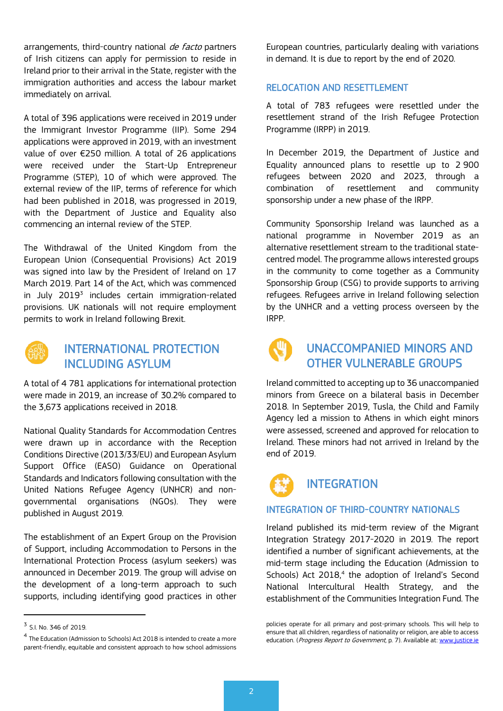arrangements, third-country national *de facto* partners of Irish citizens can apply for permission to reside in Ireland prior to their arrival in the State, register with the immigration authorities and access the labour market immediately on arrival.

A total of 396 applications were received in 2019 under the Immigrant Investor Programme (IIP). Some 294 applications were approved in 2019, with an investment value of over €250 million. A total of 26 applications were received under the Start-Up Entrepreneur Programme (STEP), 10 of which were approved. The external review of the IIP, terms of reference for which had been published in 2018, was progressed in 2019, with the Department of Justice and Equality also commencing an internal review of the STEP.

The Withdrawal of the United Kingdom from the European Union (Consequential Provisions) Act 2019 was signed into law by the President of Ireland on 17 March 2019. Part 14 of the Act, which was commenced in July 2019<sup>[3](#page-1-0)</sup> includes certain immigration-related provisions. UK nationals will not require employment permits to work in Ireland following Brexit.



#### INTERNATIONAL PROTECTION INCLUDING ASYLUM

A total of 4 781 applications for international protection were made in 2019, an increase of 30.2% compared to the 3,673 applications received in 2018.

National Quality Standards for Accommodation Centres were drawn up in accordance with the Reception Conditions Directive (2013/33/EU) and European Asylum Support Office (EASO) Guidance on Operational Standards and Indicators following consultation with the United Nations Refugee Agency (UNHCR) and nongovernmental organisations (NGOs). They were published in August 2019.

The establishment of an Expert Group on the Provision of Support, including Accommodation to Persons in the International Protection Process (asylum seekers) was announced in December 2019. The group will advise on the development of a long-term approach to such supports, including identifying good practices in other European countries, particularly dealing with variations in demand. It is due to report by the end of 2020.

#### RELOCATION AND RESETTLEMENT

A total of 783 refugees were resettled under the resettlement strand of the Irish Refugee Protection Programme (IRPP) in 2019.

In December 2019, the Department of Justice and Equality announced plans to resettle up to 2 900 refugees between 2020 and 2023, through a combination of resettlement and community sponsorship under a new phase of the IRPP.

Community Sponsorship Ireland was launched as a national programme in November 2019 as an alternative resettlement stream to the traditional statecentred model. The programme allows interested groups in the community to come together as a Community Sponsorship Group (CSG) to provide supports to arriving refugees. Refugees arrive in Ireland following selection by the UNHCR and a vetting process overseen by the IRPP.



#### UNACCOMPANIED MINORS AND OTHER VULNERABLE GROUPS

Ireland committed to accepting up to 36 unaccompanied minors from Greece on a bilateral basis in December 2018. In September 2019, Tusla, the Child and Family Agency led a mission to Athens in which eight minors were assessed, screened and approved for relocation to Ireland. These minors had not arrived in Ireland by the end of 2019.



#### INTEGRATION OF THIRD-COUNTRY NATIONALS

Ireland published its mid-term review of the Migrant Integration Strategy 2017-2020 in 2019. The report identified a number of significant achievements, at the mid-term stage including the Education (Admission to Schools) Act 2018, [4](#page-1-1) the adoption of Ireland's Second National Intercultural Health Strategy, and the establishment of the Communities Integration Fund. The

policies operate for all primary and post-primary schools. This will help to ensure that all children, regardless of nationality or religion, are able to access education. (Progress Report to Government, p. 7). Available at[: www.justice.ie](http://www.justice.ie/)

<span id="page-1-0"></span><sup>3</sup> S.I. No. 346 of 2019.

<span id="page-1-1"></span><sup>4</sup> The Education (Admission to Schools) Act 2018 is intended to create a more parent-friendly, equitable and consistent approach to how school admissions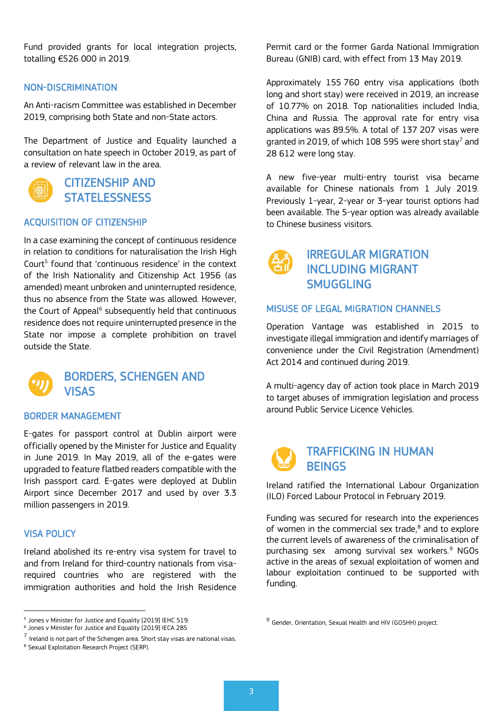Fund provided grants for local integration projects, totalling €526 000 in 2019.

#### NON-DISCRIMINATION

An Anti-racism Committee was established in December 2019, comprising both State and non-State actors.

The Department of Justice and Equality launched a consultation on hate speech in October 2019, as part of a review of relevant law in the area.



CITIZENSHIP AND **STATELESSNESS** 

#### ACQUISITION OF CITIZENSHIP

In a case examining the concept of continuous residence in relation to conditions for naturalisation the Irish High Court<sup>[5](#page-2-0)</sup> found that 'continuous residence' in the context of the Irish Nationality and Citizenship Act 1956 (as amended) meant unbroken and uninterrupted residence, thus no absence from the State was allowed. However, the Court of Appeal<sup>6</sup> subsequently held that continuous residence does not require uninterrupted presence in the State nor impose a complete prohibition on travel outside the State.



#### BORDERS, SCHENGEN AND **VISAS**

#### BORDER MANAGEMENT

E-gates for passport control at Dublin airport were officially opened by the Minister for Justice and Equality in June 2019. In May 2019, all of the e-gates were upgraded to feature flatbed readers compatible with the Irish passport card. E-gates were deployed at Dublin Airport since December 2017 and used by over 3.3 million passengers in 2019.

#### VISA POLICY

Ireland abolished its re-entry visa system for travel to and from Ireland for third-country nationals from visarequired countries who are registered with the immigration authorities and hold the Irish Residence

Permit card or the former Garda National Immigration Bureau (GNIB) card, with effect from 13 May 2019.

Approximately 155 760 entry visa applications (both long and short stay) were received in 2019, an increase of 10.77% on 2018. Top nationalities included India, China and Russia. The approval rate for entry visa applications was 89.5%. A total of 137 207 visas were granted in 2019, of which 108 595 were short stay<sup>[7](#page-2-2)</sup> and 28 612 were long stay.

A new five-year multi-entry tourist visa became available for Chinese nationals from 1 July 2019. Previously 1-year, 2-year or 3-year tourist options had been available. The 5-year option was already available to Chinese business visitors.



#### IRREGULAR MIGRATION INCLUDING MIGRANT SMUGGLING

#### MISUSE OF LEGAL MIGRATION CHANNELS

Operation Vantage was established in 2015 to investigate illegal immigration and identify marriages of convenience under the Civil Registration (Amendment) Act 2014 and continued during 2019.

A multi-agency day of action took place in March 2019 to target abuses of immigration legislation and process around Public Service Licence Vehicles.

## TRAFFICKING IN HUMAN **BEINGS**

Ireland ratified the International Labour Organization (ILO) Forced Labour Protocol in February 2019.

Funding was secured for research into the experiences of women in the commercial sex trade, [8](#page-2-3) and to explore the current levels of awareness of the criminalisation of purchasing sex among survival sex workers. [9](#page-2-0) NGOs active in the areas of sexual exploitation of women and labour exploitation continued to be supported with funding.

<span id="page-2-0"></span><sup>5</sup> Jones v Minister for Justice and Equality [2019] IEHC 519.

<span id="page-2-1"></span><sup>6</sup> Jones v Minister for Justice and Equality [2019] IECA 285

<span id="page-2-2"></span> $7$  Ireland is not part of the Schengen area. Short stay visas are national visas.

<span id="page-2-3"></span><sup>8</sup> Sexual Exploitation Research Project (SERP).

<sup>9</sup> Gender, Orientation, Sexual Health and HIV (GOSHH) project.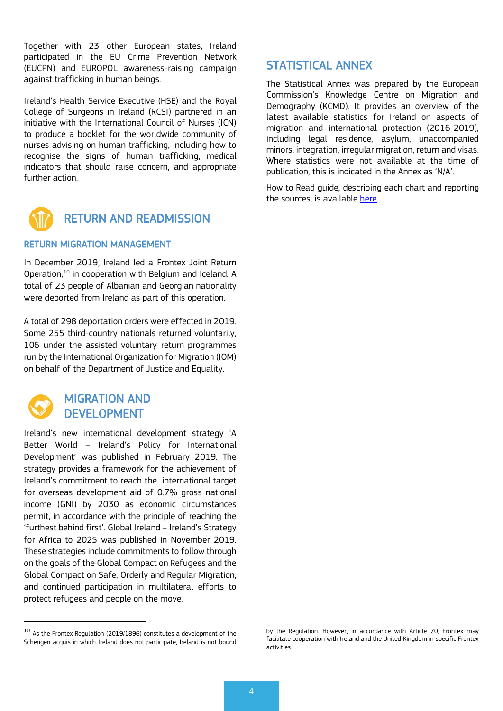Together with 23 other European states, Ireland participated in the EU Crime Prevention Network (EUCPN) and EUROPOL awareness-raising campaign against trafficking in human beings.

Ireland's Health Service Executive (HSE) and the Royal College of Surgeons in Ireland (RCSI) partnered in an initiative with the International Council of Nurses (ICN) to produce a booklet for the worldwide community of nurses advising on human trafficking, including how to recognise the signs of human trafficking, medical indicators that should raise concern, and appropriate further action.



### RETURN AND READMISSION

#### RETURN MIGRATION MANAGEMENT

In December 2019, Ireland led a Frontex Joint Return Operation, [10](#page-3-0) in cooperation with Belgium and Iceland. A total of 23 people of Albanian and Georgian nationality were deported from Ireland as part of this operation.

A total of 298 deportation orders were effected in 2019. Some 255 third-country nationals returned voluntarily, 106 under the assisted voluntary return programmes run by the International Organization for Migration (IOM) on behalf of the Department of Justice and Equality.



#### MIGRATION AND DEVELOPMENT

Ireland's new international development strategy 'A Better World – Ireland's Policy for International Development' was published in February 2019. The strategy provides a framework for the achievement of Ireland's commitment to reach the international target for overseas development aid of 0.7% gross national income (GNI) by 2030 as economic circumstances permit, in accordance with the principle of reaching the 'furthest behind first'. Global Ireland – Ireland's Strategy for Africa to 2025 was published in November 2019. These strategies include commitments to follow through on the goals of the Global Compact on Refugees and the Global Compact on Safe, Orderly and Regular Migration, and continued participation in multilateral efforts to protect refugees and people on the move.

#### STATISTICAL ANNEX

The Statistical Annex was prepared by the European Commission's Knowledge Centre on Migration and Demography (KCMD). It provides an overview of the latest available statistics for Ireland on aspects of migration and international protection (2016-2019), including legal residence, asylum, unaccompanied minors, integration, irregular migration, return and visas. Where statistics were not available at the time of publication, this is indicated in the Annex as 'N/A'.

How to Read guide, describing each chart and reporting the sources, is available [here.](https://ec.europa.eu/home-affairs/sites/homeaffairs/files/emn_kcmd_factsheet_htr_final.pdf) 

<span id="page-3-0"></span><sup>&</sup>lt;sup>10</sup> As the Frontex Regulation (2019/1896) constitutes a development of the Schengen acquis in which Ireland does not participate, Ireland is not bound

by the Regulation. However, in accordance with Article 70, Frontex may facilitate cooperation with Ireland and the United Kingdom in specific Frontex activities.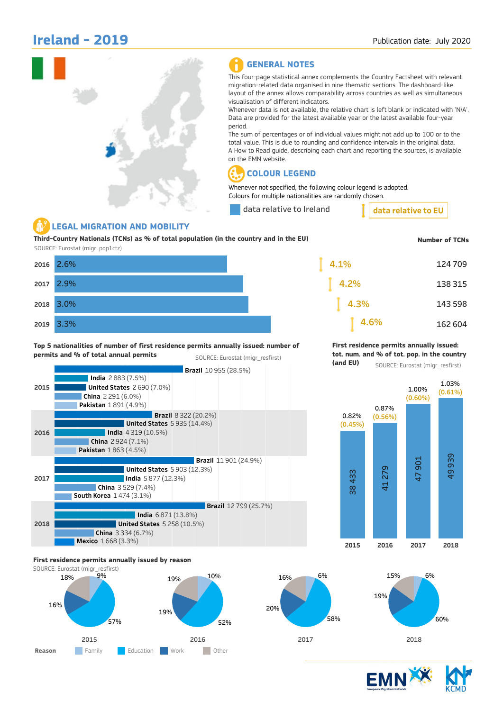## Ireland - 2019



#### GENERAL NOTES

This four-page statistical annex complements the Country Factsheet with relevant migration-related data organised in nine thematic sections. The dashboard-like layout of the annex allows comparability across countries as well as simultaneous visualisation of different indicators.

Whenever data is not available, the relative chart is left blank or indicated with 'N/A'. Data are provided for the latest available year or the latest available four-year period.

The sum of percentages or of individual values might not add up to 100 or to the total value. This is due to rounding and confidence intervals in the original data. A How to Read guide, describing each chart and reporting the sources, is available on the EMN website.

#### COLOUR LEGEND

Whenever not specified, the following colour legend is adopted. Colours for multiple nationalities are randomly chosen.

data relative to Ireland

data relative to EU

#### LEGAL MIGRATION AND MOBILITY

2017

2018

2019

Third-Country Nationals (TCNs) as % of total population (in the country and in the EU) SOURCE: Eurostat (migr\_pop1ctz)

| Third-Country Nationals (TCNs) as % of total population (in the country and in the EU)<br>SOURCE: Eurostat (migr_pop1ctz) | <b>Number of TCNs</b> |          |         |
|---------------------------------------------------------------------------------------------------------------------------|-----------------------|----------|---------|
|                                                                                                                           | 2016 2.6%             | $ 4.1\%$ | 124 709 |
|                                                                                                                           | 2017 2.9%             | $ 4.2\%$ | 138 315 |
|                                                                                                                           | 2018 3.0%             | 4.3%     | 143 598 |
|                                                                                                                           | 2019 3.3%             | 4.6%     | 162 604 |

#### Top 5 nationalities of number of first residence permits annually issued: number of permits and % of total annual permits SOURCE: Eurostat (migr\_resfirst)

First residence permits annually issued: tot. num. and % of tot. pop. in the country

> 1.00% **(0.60%)**

1.03% **(0.61%)**

(and EU)

0.87% **(0.56%)**



#### First residence permits annually issued by reason









2015 2016 2017 2018



SOURCE: Eurostat (migr\_resfirst)

0.82% **(0.45%)**

> ૹ 43 3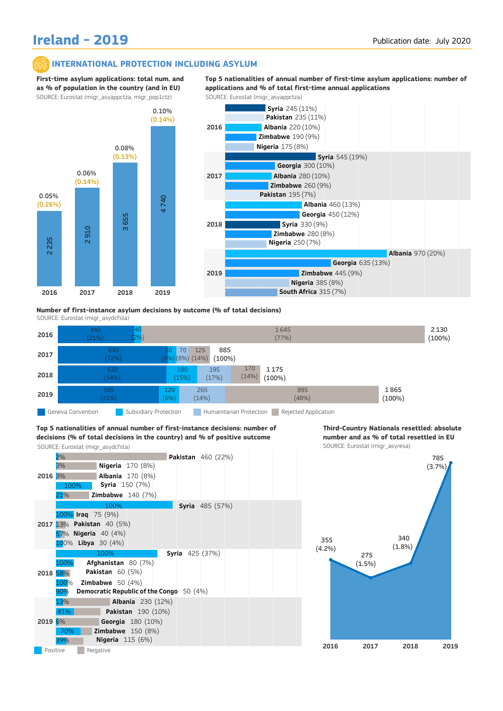## Ireland - 2019

#### INTERNATIONAL PROTECTION INCLUDING ASYLUM

First-time asylum applications: total num. and as % of population in the country (and in EU) SOURCE: Eurostat (migr\_asyappctza, migr\_pop1ctz) SOURCE: Eurostat (migr\_asyappctza)







SOURCE: Eurostat (migr\_asydcfsta)

| 2016                         | 445<br>(21%)<br>$[2\%]$ |                                                     | 1645<br>(77%)                  | 2 1 3 0<br>(100%) |  |  |
|------------------------------|-------------------------|-----------------------------------------------------|--------------------------------|-------------------|--|--|
| 2017                         | 640<br>(72%)            | 885<br>70<br>125<br>50<br>(6%) (8%) (14%)<br>(100%) |                                |                   |  |  |
| 2018                         | 630<br>(54%)            | 195<br>180<br>(17%)<br>(15%)                        | 170<br>1175<br>(14%)<br>(100%) |                   |  |  |
| 2019                         | 585<br>(31%)            | 120<br>265<br>(6%)<br>(14%)                         | 895<br>(48%)                   | 1865<br>(100%)    |  |  |
| <b>CONTRACTOR</b> CONTRACTOR |                         |                                                     |                                |                   |  |  |

Geneva Convention **Subsidiary Protection** Humanitarian Protection Rejected Application

#### SOURCE: Eurostat (migr\_asydcfsta) SOURCE: Eurostat (migr\_asyresa) Top 5 nationalities of annual number of first-instance decisions: number of decisions (% of total decisions in the country) and % of positive outcome



Third-Country Nationals resettled: absolute number and as % of total resettled in EU

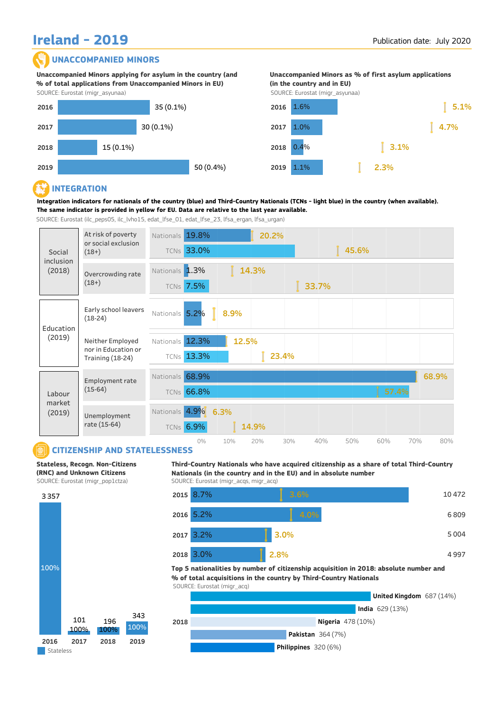## **UNACCOMPANIED MINORS** Ireland - 2019

#### UNACCOMPANIED MINORS

SOURCE: Eurostat (migr\_asyunaa) Unaccompanied Minors applying for asylum in the country (and % of total applications from Unaccompanied Minors in EU)



Unaccompanied Minors as % of first asylum applications (in the country and in EU)

SOURCE: Eurostat (migr\_asyunaa)



#### R. INTEGRATION

Integration indicators for nationals of the country (blue) and Third-Country Nationals (TCNs - light blue) in the country (when available). The same indicator is provided in yellow for EU. Data are relative to the last year available.

SOURCE: Eurostat (ilc\_peps05, ilc\_lvho15, edat\_lfse\_01, edat\_lfse\_23, lfsa\_ergan, lfsa\_urgan)



#### CITIZENSHIP AND STATELESSNESS

Stateless, Recogn. Non-Citizens (RNC) and Unknown Citizens



Third-Country Nationals who have acquired citizenship as a share of total Third-Country Nationals (in the country and in the EU) and in absolute number SOURCE: Eurostat (migr\_acqs, migr\_acq)



Top 5 nationalities by number of citizenship acquisition in 2018: absolute number and % of total acquisitions in the country by Third-Country Nationals